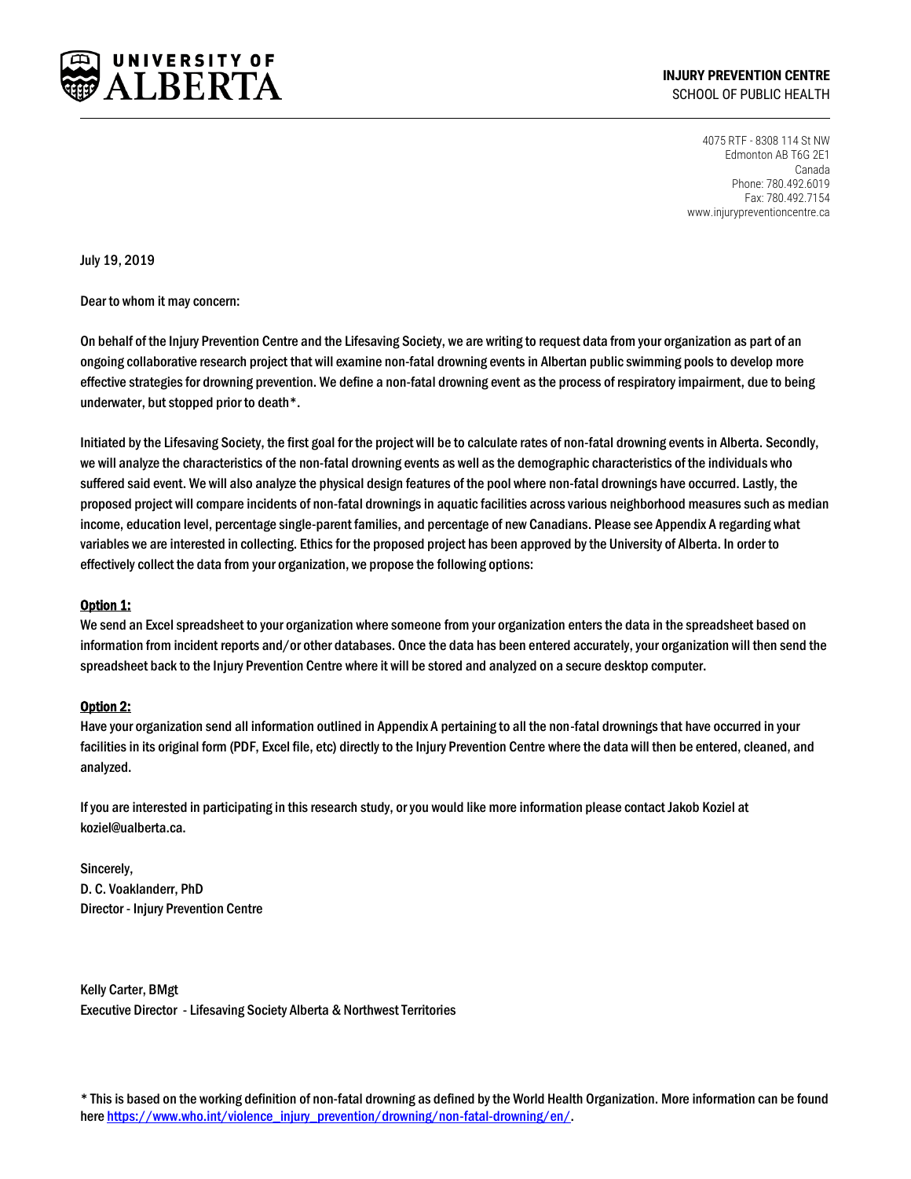

**INJURY PREVENTION CENTRE** SCHOOL OF PUBLIC HEALTH

> 4075 RTF - 8308 114 St NW Edmonton AB T6G 2E1 Canada Phone: 780.492.6019 Fax: 780.492.7154 www.injurypreventioncentre.ca

July 19, 2019

Dear to whom it may concern:

On behalf of the Injury Prevention Centre and the Lifesaving Society, we are writing to request data from your organization as part of an ongoing collaborative research project that will examine non-fatal drowning events in Albertan public swimming pools to develop more effective strategies for drowning prevention. We define a non-fatal drowning event as the process of respiratory impairment, due to being underwater, but stopped prior to death\*.

Initiated by the Lifesaving Society, the first goal for the project will be to calculate rates of non-fatal drowning events in Alberta. Secondly, we will analyze the characteristics of the non-fatal drowning events as well as the demographic characteristics of the individuals who suffered said event. We will also analyze the physical design features of the pool where non-fatal drownings have occurred. Lastly, the proposed project will compare incidents of non-fatal drownings in aquatic facilities across various neighborhood measures such as median income, education level, percentage single-parent families, and percentage of new Canadians. Please see Appendix A regarding what variables we are interested in collecting. Ethics for the proposed project has been approved by the University of Alberta. In order to effectively collect the data from your organization, we propose the following options:

## Option 1:

We send an Excel spreadsheet to your organization where someone from your organization entersthe data in the spreadsheet based on information from incident reports and/or other databases. Once the data has been entered accurately, your organization will then send the spreadsheet back to the Injury Prevention Centre where it will be stored and analyzed on a secure desktop computer.

## Option 2:

Have your organization send all information outlined in Appendix A pertaining to all the non-fatal drownings that have occurred in your facilities in its original form (PDF, Excel file, etc) directly to the Injury Prevention Centre where the data will then be entered, cleaned, and analyzed.

If you are interested in participating in this research study, or you would like more information please contact Jakob Koziel at koziel@ualberta.ca.

Sincerely, D. C. Voaklanderr, PhD Director - Injury Prevention Centre

Kelly Carter, BMgt Executive Director - Lifesaving Society Alberta & Northwest Territories